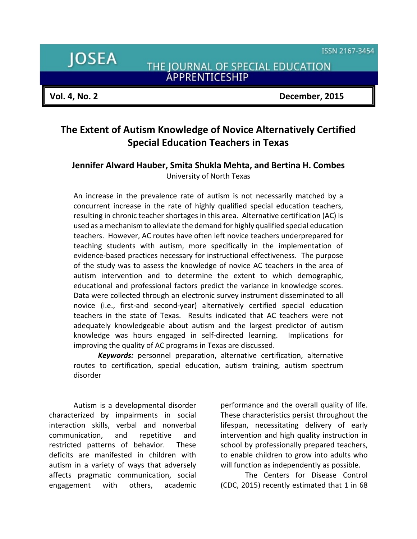ISSN 2167-3454

**JOSEA** 

THE JOURNAL OF SPECIAL EDUCATION<br>APPRENTICESHIP

**Vol. 4, No. 2 December, 2015**

# **The Extent of Autism Knowledge of Novice Alternatively Certified Special Education Teachers in Texas**

# **Jennifer Alward Hauber, Smita Shukla Mehta, and Bertina H. Combes** University of North Texas

An increase in the prevalence rate of autism is not necessarily matched by a concurrent increase in the rate of highly qualified special education teachers, resulting in chronic teacher shortages in this area. Alternative certification (AC) is used as a mechanism to alleviate the demand for highly qualified special education teachers. However, AC routes have often left novice teachers underprepared for teaching students with autism, more specifically in the implementation of evidence-based practices necessary for instructional effectiveness. The purpose of the study was to assess the knowledge of novice AC teachers in the area of autism intervention and to determine the extent to which demographic, educational and professional factors predict the variance in knowledge scores. Data were collected through an electronic survey instrument disseminated to all novice (i.e., first-and second-year) alternatively certified special education teachers in the state of Texas. Results indicated that AC teachers were not adequately knowledgeable about autism and the largest predictor of autism knowledge was hours engaged in self-directed learning. Implications for improving the quality of AC programs in Texas are discussed.

*Keywords:* personnel preparation, alternative certification, alternative routes to certification, special education, autism training, autism spectrum disorder

Autism is a developmental disorder characterized by impairments in social interaction skills, verbal and nonverbal communication, and repetitive and restricted patterns of behavior. These deficits are manifested in children with autism in a variety of ways that adversely affects pragmatic communication, social engagement with others, academic

performance and the overall quality of life. These characteristics persist throughout the lifespan, necessitating delivery of early intervention and high quality instruction in school by professionally prepared teachers, to enable children to grow into adults who will function as independently as possible.

The Centers for Disease Control (CDC, 2015) recently estimated that 1 in 68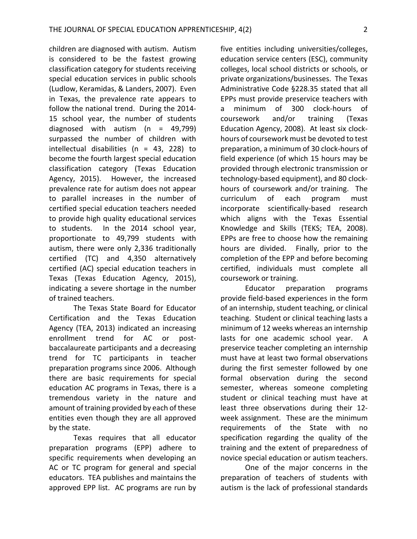children are diagnosed with autism. Autism is considered to be the fastest growing classification category for students receiving special education services in public schools (Ludlow, Keramidas, & Landers, 2007). Even in Texas, the prevalence rate appears to follow the national trend. During the 2014- 15 school year, the number of students diagnosed with autism  $(n = 49,799)$ surpassed the number of children with intellectual disabilities (n = 43, 228) to become the fourth largest special education classification category (Texas Education Agency, 2015). However, the increased prevalence rate for autism does not appear to parallel increases in the number of certified special education teachers needed to provide high quality educational services to students. In the 2014 school year, proportionate to 49,799 students with autism, there were only 2,336 traditionally certified (TC) and 4,350 alternatively certified (AC) special education teachers in Texas (Texas Education Agency, 2015), indicating a severe shortage in the number of trained teachers.

The Texas State Board for Educator Certification and the Texas Education Agency (TEA, 2013) indicated an increasing enrollment trend for AC or postbaccalaureate participants and a decreasing trend for TC participants in teacher preparation programs since 2006. Although there are basic requirements for special education AC programs in Texas, there is a tremendous variety in the nature and amount of training provided by each of these entities even though they are all approved by the state.

Texas requires that all educator preparation programs (EPP) adhere to specific requirements when developing an AC or TC program for general and special educators. TEA publishes and maintains the approved EPP list. AC programs are run by five entities including universities/colleges, education service centers (ESC), community colleges, local school districts or schools, or private organizations/businesses. The Texas Administrative Code §228.35 stated that all EPPs must provide preservice teachers with a minimum of 300 clock-hours of coursework and/or training (Texas Education Agency, 2008). At least six clockhours of coursework must be devoted to test preparation, a minimum of 30 clock-hours of field experience (of which 15 hours may be provided through electronic transmission or technology-based equipment), and 80 clockhours of coursework and/or training. The curriculum of each program must incorporate scientifically-based research which aligns with the Texas Essential Knowledge and Skills (TEKS; TEA, 2008). EPPs are free to choose how the remaining hours are divided. Finally, prior to the completion of the EPP and before becoming certified, individuals must complete all coursework or training.

Educator preparation programs provide field-based experiences in the form of an internship, student teaching, or clinical teaching. Student or clinical teaching lasts a minimum of 12 weeks whereas an internship lasts for one academic school year. A preservice teacher completing an internship must have at least two formal observations during the first semester followed by one formal observation during the second semester, whereas someone completing student or clinical teaching must have at least three observations during their 12 week assignment. These are the minimum requirements of the State with no specification regarding the quality of the training and the extent of preparedness of novice special education or autism teachers.

One of the major concerns in the preparation of teachers of students with autism is the lack of professional standards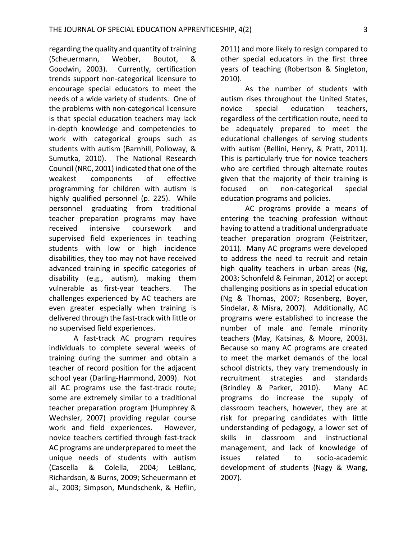regarding the quality and quantity of training (Scheuermann, Webber, Boutot, & Goodwin, 2003). Currently, certification trends support non-categorical licensure to encourage special educators to meet the needs of a wide variety of students. One of the problems with non-categorical licensure is that special education teachers may lack in-depth knowledge and competencies to work with categorical groups such as students with autism (Barnhill, Polloway, & Sumutka, 2010). The National Research Council (NRC, 2001) indicated that one of the weakest components of effective programming for children with autism is highly qualified personnel (p. 225). While personnel graduating from traditional teacher preparation programs may have received intensive coursework and supervised field experiences in teaching students with low or high incidence disabilities, they too may not have received advanced training in specific categories of disability (e.g., autism), making them vulnerable as first-year teachers. The challenges experienced by AC teachers are even greater especially when training is delivered through the fast-track with little or no supervised field experiences.

A fast-track AC program requires individuals to complete several weeks of training during the summer and obtain a teacher of record position for the adjacent school year (Darling-Hammond, 2009). Not all AC programs use the fast-track route; some are extremely similar to a traditional teacher preparation program (Humphrey & Wechsler, 2007) providing regular course work and field experiences. However, novice teachers certified through fast-track AC programs are underprepared to meet the unique needs of students with autism (Cascella & Colella, 2004; LeBlanc, Richardson, & Burns, 2009; Scheuermann et al., 2003; Simpson, Mundschenk, & Heflin,

2011) and more likely to resign compared to other special educators in the first three years of teaching (Robertson & Singleton, 2010).

As the number of students with autism rises throughout the United States, novice special education teachers, regardless of the certification route, need to be adequately prepared to meet the educational challenges of serving students with autism (Bellini, Henry, & Pratt, 2011). This is particularly true for novice teachers who are certified through alternate routes given that the majority of their training is focused on non-categorical special education programs and policies.

AC programs provide a means of entering the teaching profession without having to attend a traditional undergraduate teacher preparation program (Feistritzer, 2011). Many AC programs were developed to address the need to recruit and retain high quality teachers in urban areas (Ng, 2003; Schonfeld & Feinman, 2012) or accept challenging positions as in special education (Ng & Thomas, 2007; Rosenberg, Boyer, Sindelar, & Misra, 2007). Additionally, AC programs were established to increase the number of male and female minority teachers (May, Katsinas, & Moore, 2003). Because so many AC programs are created to meet the market demands of the local school districts, they vary tremendously in recruitment strategies and standards (Brindley & Parker, 2010). Many AC programs do increase the supply of classroom teachers, however, they are at risk for preparing candidates with little understanding of pedagogy, a lower set of skills in classroom and instructional management, and lack of knowledge of issues related to socio-academic development of students (Nagy & Wang, 2007).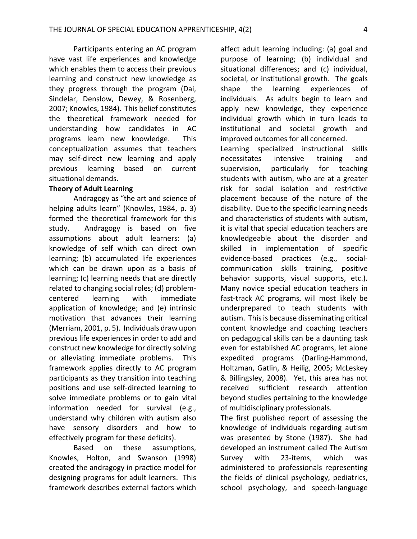Participants entering an AC program have vast life experiences and knowledge which enables them to access their previous learning and construct new knowledge as they progress through the program (Dai, Sindelar, Denslow, Dewey, & Rosenberg, 2007; Knowles, 1984). This belief constitutes the theoretical framework needed for understanding how candidates in AC programs learn new knowledge. This conceptualization assumes that teachers may self-direct new learning and apply previous learning based on current situational demands.

### **Theory of Adult Learning**

Andragogy as "the art and science of helping adults learn" (Knowles, 1984, p. 3) formed the theoretical framework for this study. Andragogy is based on five assumptions about adult learners: (a) knowledge of self which can direct own learning; (b) accumulated life experiences which can be drawn upon as a basis of learning; (c) learning needs that are directly related to changing social roles; (d) problemcentered learning with immediate application of knowledge; and (e) intrinsic motivation that advances their learning (Merriam, 2001, p. 5). Individuals draw upon previous life experiences in order to add and construct new knowledge for directly solving or alleviating immediate problems. This framework applies directly to AC program participants as they transition into teaching positions and use self-directed learning to solve immediate problems or to gain vital information needed for survival (e.g., understand why children with autism also have sensory disorders and how to effectively program for these deficits).

Based on these assumptions, Knowles, Holton, and Swanson (1998) created the andragogy in practice model for designing programs for adult learners. This framework describes external factors which

affect adult learning including: (a) goal and purpose of learning; (b) individual and situational differences; and (c) individual, societal, or institutional growth. The goals shape the learning experiences of individuals. As adults begin to learn and apply new knowledge, they experience individual growth which in turn leads to institutional and societal growth and improved outcomes for all concerned.

Learning specialized instructional skills necessitates intensive training and supervision, particularly for teaching students with autism, who are at a greater risk for social isolation and restrictive placement because of the nature of the disability. Due to the specific learning needs and characteristics of students with autism, it is vital that special education teachers are knowledgeable about the disorder and skilled in implementation of specific evidence-based practices (e.g., socialcommunication skills training, positive behavior supports, visual supports, etc.). Many novice special education teachers in fast-track AC programs, will most likely be underprepared to teach students with autism. This is because disseminating critical content knowledge and coaching teachers on pedagogical skills can be a daunting task even for established AC programs, let alone expedited programs (Darling-Hammond, Holtzman, Gatlin, & Heilig, 2005; McLeskey & Billingsley, 2008). Yet, this area has not received sufficient research attention beyond studies pertaining to the knowledge of multidisciplinary professionals.

The first published report of assessing the knowledge of individuals regarding autism was presented by Stone (1987). She had developed an instrument called The Autism Survey with 23-items, which was administered to professionals representing the fields of clinical psychology, pediatrics, school psychology, and speech-language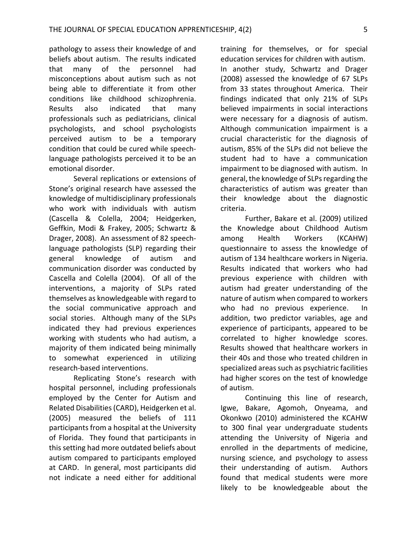pathology to assess their knowledge of and beliefs about autism. The results indicated that many of the personnel had misconceptions about autism such as not being able to differentiate it from other conditions like childhood schizophrenia. Results also indicated that many professionals such as pediatricians, clinical psychologists, and school psychologists perceived autism to be a temporary condition that could be cured while speechlanguage pathologists perceived it to be an emotional disorder.

Several replications or extensions of Stone's original research have assessed the knowledge of multidisciplinary professionals who work with individuals with autism (Cascella & Colella, 2004; Heidgerken, Geffkin, Modi & Frakey, 2005; Schwartz & Drager, 2008). An assessment of 82 speechlanguage pathologists (SLP) regarding their general knowledge of autism and communication disorder was conducted by Cascella and Colella (2004). Of all of the interventions, a majority of SLPs rated themselves as knowledgeable with regard to the social communicative approach and social stories. Although many of the SLPs indicated they had previous experiences working with students who had autism, a majority of them indicated being minimally to somewhat experienced in utilizing research-based interventions.

Replicating Stone's research with hospital personnel, including professionals employed by the Center for Autism and Related Disabilities (CARD), Heidgerken et al. (2005) measured the beliefs of 111 participants from a hospital at the University of Florida. They found that participants in this setting had more outdated beliefs about autism compared to participants employed at CARD. In general, most participants did not indicate a need either for additional

training for themselves, or for special education services for children with autism. In another study, Schwartz and Drager (2008) assessed the knowledge of 67 SLPs from 33 states throughout America. Their findings indicated that only 21% of SLPs believed impairments in social interactions were necessary for a diagnosis of autism. Although communication impairment is a crucial characteristic for the diagnosis of autism, 85% of the SLPs did not believe the student had to have a communication impairment to be diagnosed with autism. In general, the knowledge of SLPs regarding the characteristics of autism was greater than their knowledge about the diagnostic criteria.

Further, Bakare et al. (2009) utilized the Knowledge about Childhood Autism among Health Workers (KCAHW) questionnaire to assess the knowledge of autism of 134 healthcare workers in Nigeria. Results indicated that workers who had previous experience with children with autism had greater understanding of the nature of autism when compared to workers who had no previous experience. In addition, two predictor variables, age and experience of participants, appeared to be correlated to higher knowledge scores. Results showed that healthcare workers in their 40s and those who treated children in specialized areas such as psychiatric facilities had higher scores on the test of knowledge of autism.

Continuing this line of research, Igwe, Bakare, Agomoh, Onyeama, and Okonkwo (2010) administered the KCAHW to 300 final year undergraduate students attending the University of Nigeria and enrolled in the departments of medicine, nursing science, and psychology to assess their understanding of autism. Authors found that medical students were more likely to be knowledgeable about the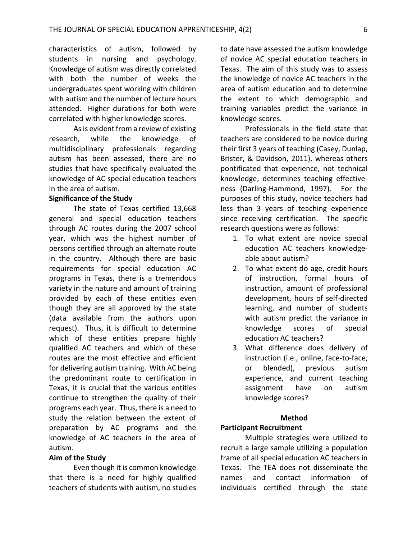characteristics of autism, followed by students in nursing and psychology. Knowledge of autism was directly correlated with both the number of weeks the undergraduates spent working with children with autism and the number of lecture hours attended. Higher durations for both were correlated with higher knowledge scores.

As is evident from a review of existing research, while the knowledge of multidisciplinary professionals regarding autism has been assessed, there are no studies that have specifically evaluated the knowledge of AC special education teachers in the area of autism.

### **Significance of the Study**

The state of Texas certified 13,668 general and special education teachers through AC routes during the 2007 school year, which was the highest number of persons certified through an alternate route in the country. Although there are basic requirements for special education AC programs in Texas, there is a tremendous variety in the nature and amount of training provided by each of these entities even though they are all approved by the state (data available from the authors upon request). Thus, it is difficult to determine which of these entities prepare highly qualified AC teachers and which of these routes are the most effective and efficient for delivering autism training. With AC being the predominant route to certification in Texas, it is crucial that the various entities continue to strengthen the quality of their programs each year. Thus, there is a need to study the relation between the extent of preparation by AC programs and the knowledge of AC teachers in the area of autism.

#### **Aim of the Study**

Even though it is common knowledge that there is a need for highly qualified teachers of students with autism, no studies

to date have assessed the autism knowledge of novice AC special education teachers in Texas. The aim of this study was to assess the knowledge of novice AC teachers in the area of autism education and to determine the extent to which demographic and training variables predict the variance in knowledge scores.

Professionals in the field state that teachers are considered to be novice during their first 3 years of teaching (Casey, Dunlap, Brister, & Davidson, 2011), whereas others pontificated that experience, not technical knowledge, determines teaching effectiveness (Darling-Hammond, 1997). For the purposes of this study, novice teachers had less than 3 years of teaching experience since receiving certification. The specific research questions were as follows:

- 1. To what extent are novice special education AC teachers knowledgeable about autism?
- 2. To what extent do age, credit hours of instruction, formal hours of instruction, amount of professional development, hours of self-directed learning, and number of students with autism predict the variance in knowledge scores of special education AC teachers?
- 3. What difference does delivery of instruction (i.e., online, face-to-face, or blended), previous autism experience, and current teaching assignment have on autism knowledge scores?

#### **Method**

### **Participant Recruitment**

Multiple strategies were utilized to recruit a large sample utilizing a population frame of all special education AC teachers in Texas. The TEA does not disseminate the names and contact information of individuals certified through the state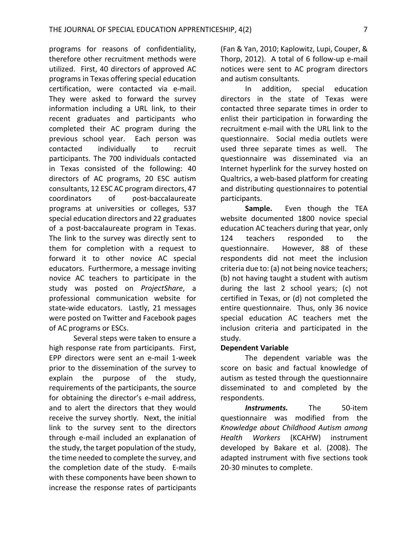programs for reasons of confidentiality, therefore other recruitment methods were utilized. First, 40 directors of approved AC programs in Texas offering special education certification, were contacted via e-mail. They were asked to forward the survey information including a URL link, to their recent graduates and participants who completed their AC program during the previous school year. Each person was contacted individually to recruit participants. The 700 individuals contacted in Texas consisted of the following: 40 directors of AC programs, 20 ESC autism consultants, 12 ESC AC program directors, 47 coordinators of post-baccalaureate programs at universities or colleges, 537 special education directors and 22 graduates of a post-baccalaureate program in Texas. The link to the survey was directly sent to them for completion with a request to forward it to other novice AC special educators. Furthermore, a message inviting novice AC teachers to participate in the study was posted on *ProjectShare*, a professional communication website for state-wide educators. Lastly, 21 messages were posted on Twitter and Facebook pages of AC programs or ESCs.

Several steps were taken to ensure a high response rate from participants. First, EPP directors were sent an e-mail 1-week prior to the dissemination of the survey to explain the purpose of the study, requirements of the participants, the source for obtaining the director's e-mail address, and to alert the directors that they would receive the survey shortly. Next, the initial link to the survey sent to the directors through e-mail included an explanation of the study, the target population of the study, the time needed to complete the survey, and the completion date of the study. E-mails with these components have been shown to increase the response rates of participants

(Fan & Yan, 2010; Kaplowitz, Lupi, Couper, & Thorp, 2012). A total of 6 follow-up e-mail notices were sent to AC program directors and autism consultants.

In addition, special education directors in the state of Texas were contacted three separate times in order to enlist their participation in forwarding the recruitment e-mail with the URL link to the questionnaire. Social media outlets were used three separate times as well. The questionnaire was disseminated via an Internet hyperlink for the survey hosted on Qualtrics, a web-based platform for creating and distributing questionnaires to potential participants.

**Sample.** Even though the TEA website documented 1800 novice special education AC teachers during that year, only 124 teachers responded to the questionnaire. However, 88 of these respondents did not meet the inclusion criteria due to: (a) not being novice teachers; (b) not having taught a student with autism during the last 2 school years; (c) not certified in Texas, or (d) not completed the entire questionnaire. Thus, only 36 novice special education AC teachers met the inclusion criteria and participated in the study.

### **Dependent Variable**

The dependent variable was the score on basic and factual knowledge of autism as tested through the questionnaire disseminated to and completed by the respondents.

*Instruments.* The 50-item questionnaire was modified from the *Knowledge about Childhood Autism among Health Workers* (KCAHW) instrument developed by Bakare et al. (2008). The adapted instrument with five sections took 20-30 minutes to complete.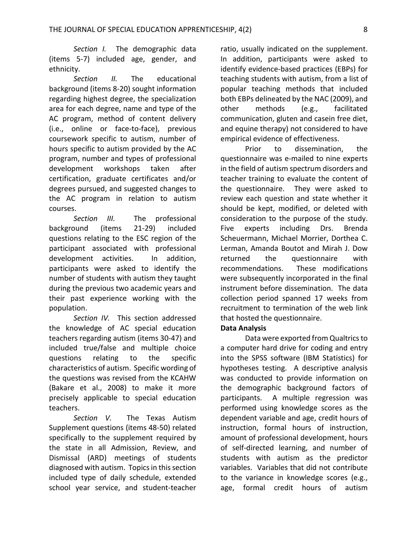*Section I.* The demographic data (items 5-7) included age, gender, and ethnicity.

*Section II.* The educational background (items 8-20) sought information regarding highest degree, the specialization area for each degree, name and type of the AC program, method of content delivery (i.e., online or face-to-face), previous coursework specific to autism, number of hours specific to autism provided by the AC program, number and types of professional development workshops taken after certification, graduate certificates and/or degrees pursued, and suggested changes to the AC program in relation to autism courses.

*Section III.* The professional background (items 21-29) included questions relating to the ESC region of the participant associated with professional development activities. In addition, participants were asked to identify the number of students with autism they taught during the previous two academic years and their past experience working with the population.

*Section IV.* This section addressed the knowledge of AC special education teachers regarding autism (items 30-47) and included true/false and multiple choice questions relating to the specific characteristics of autism. Specific wording of the questions was revised from the KCAHW (Bakare et al., 2008) to make it more precisely applicable to special education teachers.

*Section V.* The Texas Autism Supplement questions (items 48-50) related specifically to the supplement required by the state in all Admission, Review, and Dismissal (ARD) meetings of students diagnosed with autism. Topics in this section included type of daily schedule, extended school year service, and student-teacher

ratio, usually indicated on the supplement. In addition, participants were asked to identify evidence-based practices (EBPs) for teaching students with autism, from a list of popular teaching methods that included both EBPs delineated by the NAC (2009), and other methods (e.g., facilitated communication, gluten and casein free diet, and equine therapy) not considered to have empirical evidence of effectiveness.

Prior to dissemination, the questionnaire was e-mailed to nine experts in the field of autism spectrum disorders and teacher training to evaluate the content of the questionnaire. They were asked to review each question and state whether it should be kept, modified, or deleted with consideration to the purpose of the study. Five experts including Drs. Brenda Scheuermann, Michael Morrier, Dorthea C. Lerman, Amanda Boutot and Mirah J. Dow returned the questionnaire with recommendations. These modifications were subsequently incorporated in the final instrument before dissemination. The data collection period spanned 17 weeks from recruitment to termination of the web link that hosted the questionnaire.

### **Data Analysis**

Data were exported from Qualtrics to a computer hard drive for coding and entry into the SPSS software (IBM Statistics) for hypotheses testing. A descriptive analysis was conducted to provide information on the demographic background factors of participants. A multiple regression was performed using knowledge scores as the dependent variable and age, credit hours of instruction, formal hours of instruction, amount of professional development, hours of self-directed learning, and number of students with autism as the predictor variables. Variables that did not contribute to the variance in knowledge scores (e.g., age, formal credit hours of autism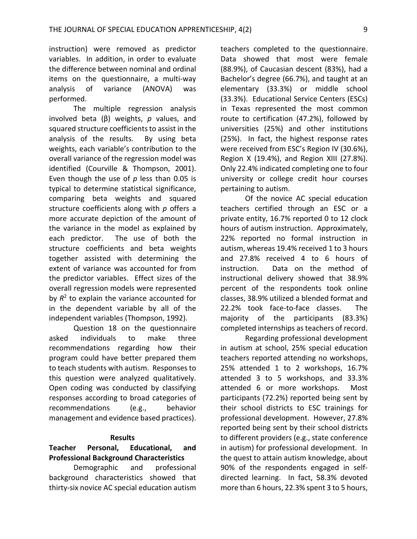instruction) were removed as predictor variables. In addition, in order to evaluate the difference between nominal and ordinal items on the questionnaire, a multi-way analysis of variance (ANOVA) was performed.

The multiple regression analysis involved beta (β) weights, *p* values, and squared structure coefficients to assist in the analysis of the results. By using beta weights, each variable's contribution to the overall variance of the regression model was identified (Courville & Thompson, 2001). Even though the use of *p* less than 0.05 is typical to determine statistical significance, comparing beta weights and squared structure coefficients along with *p* offers a more accurate depiction of the amount of the variance in the model as explained by each predictor. The use of both the structure coefficients and beta weights together assisted with determining the extent of variance was accounted for from the predictor variables. Effect sizes of the overall regression models were represented by  $R^2$  to explain the variance accounted for in the dependent variable by all of the independent variables (Thompson, 1992).

Question 18 on the questionnaire asked individuals to make three recommendations regarding how their program could have better prepared them to teach students with autism. Responses to this question were analyzed qualitatively. Open coding was conducted by classifying responses according to broad categories of recommendations (e.g., behavior management and evidence based practices).

### **Results**

# **Teacher Personal, Educational, and Professional Background Characteristics**

Demographic and professional background characteristics showed that thirty-six novice AC special education autism teachers completed to the questionnaire. Data showed that most were female (88.9%), of Caucasian descent (83%), had a Bachelor's degree (66.7%), and taught at an elementary (33.3%) or middle school (33.3%). Educational Service Centers (ESCs) in Texas represented the most common route to certification (47.2%), followed by universities (25%) and other institutions (25%). In fact, the highest response rates were received from ESC's Region IV (30.6%), Region X (19.4%), and Region XIII (27.8%). Only 22.4% indicated completing one to four university or college credit hour courses pertaining to autism.

Of the novice AC special education teachers certified through an ESC or a private entity, 16.7% reported 0 to 12 clock hours of autism instruction. Approximately, 22% reported no formal instruction in autism, whereas 19.4% received 1 to 3 hours and 27.8% received 4 to 6 hours of instruction. Data on the method of instructional delivery showed that 38.9% percent of the respondents took online classes, 38.9% utilized a blended format and 22.2% took face-to-face classes. The majority of the participants (83.3%) completed internships as teachers of record.

Regarding professional development in autism at school, 25% special education teachers reported attending no workshops, 25% attended 1 to 2 workshops, 16.7% attended 3 to 5 workshops, and 33.3% attended 6 or more workshops. Most participants (72.2%) reported being sent by their school districts to ESC trainings for professional development. However, 27.8% reported being sent by their school districts to different providers (e.g., state conference in autism) for professional development. In the quest to attain autism knowledge, about 90% of the respondents engaged in selfdirected learning. In fact, 58.3% devoted more than 6 hours, 22.3% spent 3 to 5 hours,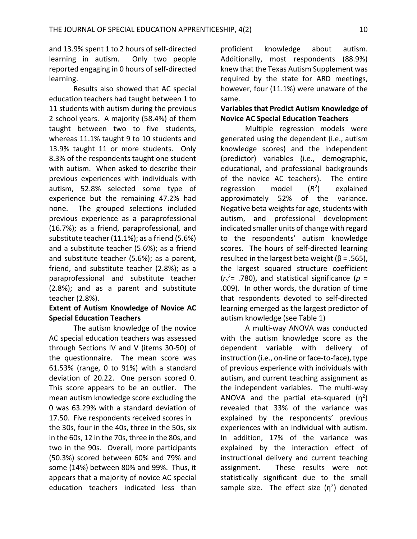and 13.9% spent 1 to 2 hours of self-directed learning in autism. Only two people reported engaging in 0 hours of self-directed learning.

Results also showed that AC special education teachers had taught between 1 to 11 students with autism during the previous 2 school years. A majority (58.4%) of them taught between two to five students, whereas 11.1% taught 9 to 10 students and 13.9% taught 11 or more students. Only 8.3% of the respondents taught one student with autism. When asked to describe their previous experiences with individuals with autism, 52.8% selected some type of experience but the remaining 47.2% had none. The grouped selections included previous experience as a paraprofessional (16.7%); as a friend, paraprofessional, and substitute teacher (11.1%); as a friend (5.6%) and a substitute teacher (5.6%); as a friend and substitute teacher (5.6%); as a parent, friend, and substitute teacher (2.8%); as a paraprofessional and substitute teacher (2.8%); and as a parent and substitute teacher (2.8%).

# **Extent of Autism Knowledge of Novice AC Special Education Teachers**

The autism knowledge of the novice AC special education teachers was assessed through Sections IV and V (items 30-50) of the questionnaire. The mean score was 61.53% (range, 0 to 91%) with a standard deviation of 20.22. One person scored 0. This score appears to be an outlier. The mean autism knowledge score excluding the 0 was 63.29% with a standard deviation of 17.50. Five respondents received scores in the 30s, four in the 40s, three in the 50s, six in the 60s, 12 in the 70s, three in the 80s, and two in the 90s. Overall, more participants (50.3%) scored between 60% and 79% and some (14%) between 80% and 99%. Thus, it appears that a majority of novice AC special education teachers indicated less than proficient knowledge about autism. Additionally, most respondents (88.9%) knew that the Texas Autism Supplement was required by the state for ARD meetings, however, four (11.1%) were unaware of the same.

# **Variables that Predict Autism Knowledge of Novice AC Special Education Teachers**

Multiple regression models were generated using the dependent (i.e., autism knowledge scores) and the independent (predictor) variables (i.e., demographic, educational, and professional backgrounds of the novice AC teachers). The entire regression model (*R*2) explained approximately 52% of the variance. Negative beta weights for age, students with autism, and professional development indicated smaller units of change with regard to the respondents' autism knowledge scores. The hours of self-directed learning resulted in the largest beta weight ( $\beta$  = .565), the largest squared structure coefficient (*rs* 2= .780), and statistical significance (*p* = .009). In other words, the duration of time that respondents devoted to self-directed learning emerged as the largest predictor of autism knowledge (see Table 1)

A multi-way ANOVA was conducted with the autism knowledge score as the dependent variable with delivery of instruction (i.e., on-line or face-to-face), type of previous experience with individuals with autism, and current teaching assignment as the independent variables. The multi-way ANOVA and the partial eta-squared  $(n^2)$ revealed that 33% of the variance was explained by the respondents' previous experiences with an individual with autism. In addition, 17% of the variance was explained by the interaction effect of instructional delivery and current teaching assignment. These results were not statistically significant due to the small sample size. The effect size  $(n^2)$  denoted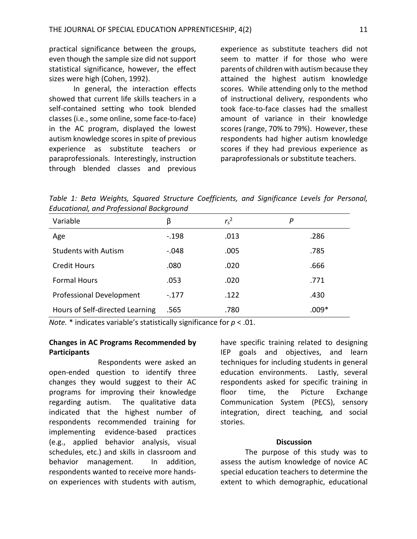practical significance between the groups, even though the sample size did not support statistical significance, however, the effect sizes were high (Cohen, 1992).

In general, the interaction effects showed that current life skills teachers in a self-contained setting who took blended classes (i.e., some online, some face-to-face) in the AC program, displayed the lowest autism knowledge scores in spite of previous experience as substitute teachers or paraprofessionals. Interestingly, instruction through blended classes and previous

experience as substitute teachers did not seem to matter if for those who were parents of children with autism because they attained the highest autism knowledge scores. While attending only to the method of instructional delivery, respondents who took face-to-face classes had the smallest amount of variance in their knowledge scores (range, 70% to 79%). However, these respondents had higher autism knowledge scores if they had previous experience as paraprofessionals or substitute teachers.

*Table 1: Beta Weights, Squared Structure Coefficients, and Significance Levels for Personal, Educational, and Professional Background*

| Variable                        | β       | $r_s^2$ | Р       |
|---------------------------------|---------|---------|---------|
| Age                             | $-.198$ | .013    | .286    |
| <b>Students with Autism</b>     | $-.048$ | .005    | .785    |
| <b>Credit Hours</b>             | .080    | .020    | .666    |
| <b>Formal Hours</b>             | .053    | .020    | .771    |
| <b>Professional Development</b> | $-.177$ | .122    | .430    |
| Hours of Self-directed Learning | .565    | .780    | $.009*$ |

*Note.* \* indicates variable's statistically significance for *p* < .01.

# **Changes in AC Programs Recommended by Participants**

Respondents were asked an open-ended question to identify three changes they would suggest to their AC programs for improving their knowledge regarding autism. The qualitative data indicated that the highest number of respondents recommended training for implementing evidence-based practices (e.g., applied behavior analysis, visual schedules, etc.) and skills in classroom and behavior management. In addition, respondents wanted to receive more handson experiences with students with autism, have specific training related to designing IEP goals and objectives, and learn techniques for including students in general education environments. Lastly, several respondents asked for specific training in floor time, the Picture Exchange Communication System (PECS), sensory integration, direct teaching, and social stories.

### **Discussion**

The purpose of this study was to assess the autism knowledge of novice AC special education teachers to determine the extent to which demographic, educational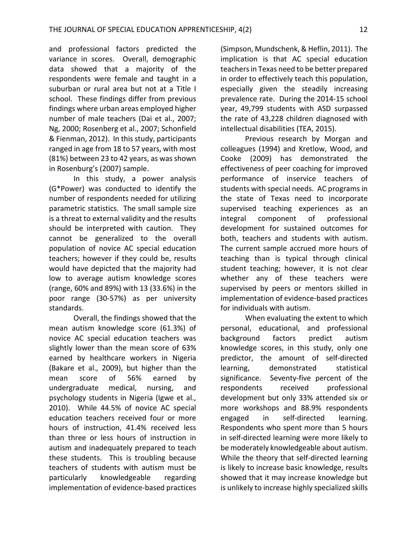and professional factors predicted the variance in scores. Overall, demographic data showed that a majority of the respondents were female and taught in a suburban or rural area but not at a Title I school. These findings differ from previous findings where urban areas employed higher number of male teachers (Dai et al., 2007; Ng, 2000; Rosenberg et al., 2007; Schonfield & Fienman, 2012). In this study, participants ranged in age from 18 to 57 years, with most (81%) between 23 to 42 years, as was shown in Rosenburg's (2007) sample.

In this study, a power analysis (G\*Power) was conducted to identify the number of respondents needed for utilizing parametric statistics. The small sample size is a threat to external validity and the results should be interpreted with caution. They cannot be generalized to the overall population of novice AC special education teachers; however if they could be, results would have depicted that the majority had low to average autism knowledge scores (range, 60% and 89%) with 13 (33.6%) in the poor range (30-57%) as per university standards.

Overall, the findings showed that the mean autism knowledge score (61.3%) of novice AC special education teachers was slightly lower than the mean score of 63% earned by healthcare workers in Nigeria (Bakare et al., 2009), but higher than the mean score of 56% earned by undergraduate medical, nursing, and psychology students in Nigeria (Igwe et al., 2010). While 44.5% of novice AC special education teachers received four or more hours of instruction, 41.4% received less than three or less hours of instruction in autism and inadequately prepared to teach these students. This is troubling because teachers of students with autism must be particularly knowledgeable regarding implementation of evidence-based practices

(Simpson, Mundschenk, & Heflin, 2011). The implication is that AC special education teachers in Texas need to be better prepared in order to effectively teach this population, especially given the steadily increasing prevalence rate. During the 2014-15 school year, 49,799 students with ASD surpassed the rate of 43,228 children diagnosed with intellectual disabilities (TEA, 2015).

Previous research by Morgan and colleagues (1994) and Kretlow, Wood, and Cooke (2009) has demonstrated the effectiveness of peer coaching for improved performance of inservice teachers of students with special needs. AC programs in the state of Texas need to incorporate supervised teaching experiences as an integral component of professional development for sustained outcomes for both, teachers and students with autism. The current sample accrued more hours of teaching than is typical through clinical student teaching; however, it is not clear whether any of these teachers were supervised by peers or mentors skilled in implementation of evidence-based practices for individuals with autism.

When evaluating the extent to which personal, educational, and professional background factors predict autism knowledge scores, in this study, only one predictor, the amount of self-directed learning, demonstrated statistical significance. Seventy-five percent of the respondents received professional development but only 33% attended six or more workshops and 88.9% respondents engaged in self-directed learning. Respondents who spent more than 5 hours in self-directed learning were more likely to be moderately knowledgeable about autism. While the theory that self-directed learning is likely to increase basic knowledge, results showed that it may increase knowledge but is unlikely to increase highly specialized skills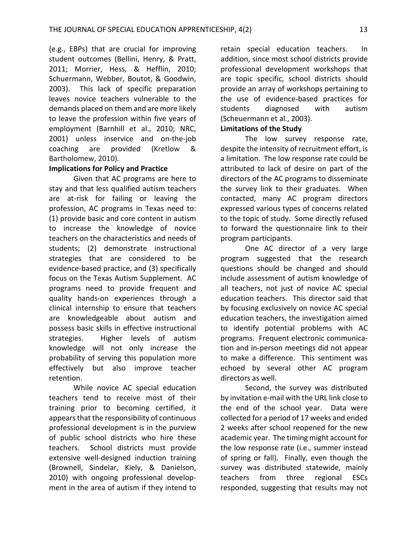(e.g., EBPs) that are crucial for improving student outcomes (Bellini, Henry, & Pratt, 2011; Morrier, Hess, & Hefflin, 2010; Schuermann, Webber, Boutot, & Goodwin, 2003). This lack of specific preparation leaves novice teachers vulnerable to the demands placed on them and are more likely to leave the profession within five years of employment (Barnhill et al., 2010; NRC, 2001) unless inservice and on-the-job coaching are provided (Kretlow & Bartholomew, 2010).

# **Implications for Policy and Practice**

Given that AC programs are here to stay and that less qualified autism teachers are at-risk for failing or leaving the profession, AC programs in Texas need to: (1) provide basic and core content in autism to increase the knowledge of novice teachers on the characteristics and needs of students; (2) demonstrate instructional strategies that are considered to be evidence-based practice, and (3) specifically focus on the Texas Autism Supplement. AC programs need to provide frequent and quality hands-on experiences through a clinical internship to ensure that teachers are knowledgeable about autism and possess basic skills in effective instructional strategies. Higher levels of autism knowledge will not only increase the probability of serving this population more effectively but also improve teacher retention.

While novice AC special education teachers tend to receive most of their training prior to becoming certified, it appears that the responsibility of continuous professional development is in the purview of public school districts who hire these teachers. School districts must provide extensive well-designed induction training (Brownell, Sindelar, Kiely, & Danielson, 2010) with ongoing professional development in the area of autism if they intend to

retain special education teachers. In addition, since most school districts provide professional development workshops that are topic specific, school districts should provide an array of workshops pertaining to the use of evidence-based practices for students diagnosed with autism (Scheuermann et al., 2003).

# **Limitations of the Study**

The low survey response rate, despite the intensity of recruitment effort, is a limitation. The low response rate could be attributed to lack of desire on part of the directors of the AC programs to disseminate the survey link to their graduates. When contacted, many AC program directors expressed various types of concerns related to the topic of study. Some directly refused to forward the questionnaire link to their program participants.

One AC director of a very large program suggested that the research questions should be changed and should include assessment of autism knowledge of all teachers, not just of novice AC special education teachers. This director said that by focusing exclusively on novice AC special education teachers, the investigation aimed to identify potential problems with AC programs. Frequent electronic communication and in-person meetings did not appear to make a difference. This sentiment was echoed by several other AC program directors as well.

Second, the survey was distributed by invitation e-mail with the URL link close to the end of the school year. Data were collected for a period of 17 weeks and ended 2 weeks after school reopened for the new academic year. The timing might account for the low response rate (i.e., summer instead of spring or fall). Finally, even though the survey was distributed statewide, mainly teachers from three regional ESCs responded, suggesting that results may not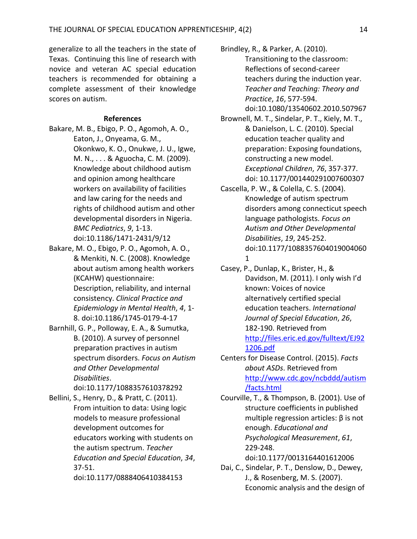generalize to all the teachers in the state of Texas. Continuing this line of research with novice and veteran AC special education teachers is recommended for obtaining a complete assessment of their knowledge scores on autism.

### **References**

- Bakare, M. B., Ebigo, P. O., Agomoh, A. O., Eaton, J., Onyeama, G. M., Okonkwo, K. O., Onukwe, J. U., Igwe, M. N., . . . & Aguocha, C. M. (2009). Knowledge about childhood autism and opinion among healthcare workers on availability of facilities and law caring for the needs and rights of childhood autism and other developmental disorders in Nigeria. *BMC Pediatrics*, *9*, 1-13. doi:10.1186/1471-2431/9/12
- Bakare, M. O., Ebigo, P. O., Agomoh, A. O., & Menkiti, N. C. (2008). Knowledge about autism among health workers (KCAHW) questionnaire: Description, reliability, and internal consistency. *Clinical Practice and Epidemiology in Mental Health*, *4*, 1- 8. doi:10.1186/1745-0179-4-17
- Barnhill, G. P., Polloway, E. A., & Sumutka, B. (2010). A survey of personnel preparation practives in autism spectrum disorders. *Focus on Autism and Other Developmental Disabilities*.

doi:10.1177/1088357610378292 Bellini, S., Henry, D., & Pratt, C. (2011). From intuition to data: Using logic models to measure professional development outcomes for educators working with students on the autism spectrum. *Teacher Education and Special Education*, *34*, 37-51.

doi:10.1177/0888406410384153

Brindley, R., & Parker, A. (2010). Transitioning to the classroom: Reflections of second-career teachers during the induction year. *Teacher and Teaching: Theory and Practice*, *16*, 577-594. doi:10.1080/13540602.2010.507967

- Brownell, M. T., Sindelar, P. T., Kiely, M. T., & Danielson, L. C. (2010). Special education teacher quality and preparation: Exposing foundations, constructing a new model. *Exceptional Children*, *76*, 357-377. doi: 10.1177/001440291007600307
- Cascella, P. W., & Colella, C. S. (2004). Knowledge of autism spectrum disorders among connecticut speech language pathologists. *Focus on Autism and Other Developmental Disabilities*, *19*, 245-252. doi:10.1177/1088357604019004060 1
- Casey, P., Dunlap, K., Brister, H., & Davidson, M. (2011). I only wish I'd known: Voices of novice alternatively certified special education teachers. *International Journal of Special Education*, *26*, 182-190. Retrieved from [http://files.eric.ed.gov/fulltext/EJ92](http://files.eric.ed.gov/fulltext/EJ921206.pdf) [1206.pdf](http://files.eric.ed.gov/fulltext/EJ921206.pdf)
- Centers for Disease Control. (2015). *Facts about ASDs*. Retrieved from [http://www.cdc.gov/ncbddd/autism](http://www.cdc.gov/ncbddd/autism/facts.html) [/facts.html](http://www.cdc.gov/ncbddd/autism/facts.html)
- Courville, T., & Thompson, B. (2001). Use of structure coefficients in published multiple regression articles: β is not enough. *Educational and Psychological Measurement*, *61*, 229-248. doi:10.1177/0013164401612006
- Dai, C., Sindelar, P. T., Denslow, D., Dewey, J., & Rosenberg, M. S. (2007). Economic analysis and the design of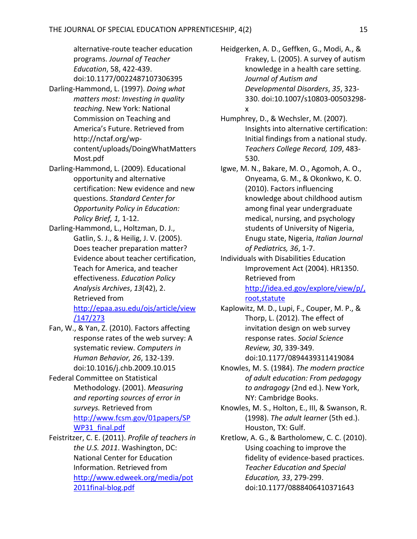alternative-route teacher education programs. *Journal of Teacher Education*, 58, 422-439. doi:10.1177/0022487107306395 Darling-Hammond, L. (1997). *Doing what matters most: Investing in quality teaching*. New York: National Commission on Teaching and America's Future. Retrieved from http://nctaf.org/wpcontent/uploads/DoingWhatMatters Most.pdf

- Darling-Hammond, L. (2009). Educational opportunity and alternative certification: New evidence and new questions. *Standard Center for Opportunity Policy in Education: Policy Brief, 1,* 1-12.
- Darling-Hammond, L., Holtzman, D. J., Gatlin, S. J., & Heilig, J. V. (2005). Does teacher preparation matter? Evidence about teacher certification, Teach for America, and teacher effectiveness. *Education Policy Analysis Archives*, *13*(42), 2. Retrieved from [http://epaa.asu.edu/ojs/article/view](http://epaa.asu.edu/ojs/article/view/147/273) [/147/273](http://epaa.asu.edu/ojs/article/view/147/273)
- Fan, W., & Yan, Z. (2010). Factors affecting response rates of the web survey: A systematic review. *Computers in Human Behavior, 26*, 132-139. doi:10.1016/j.chb.2009.10.015
- Federal Committee on Statistical Methodology. (2001). *Measuring and reporting sources of error in surveys.* Retrieved from [http://www.fcsm.gov/01papers/SP](http://www.fcsm.gov/01papers/SPWP31_final.pdf) [WP31\\_final.pdf](http://www.fcsm.gov/01papers/SPWP31_final.pdf)
- Feistritzer, C. E. (2011). *Profile of teachers in the U.S. 2011*. Washington, DC: National Center for Education Information. Retrieved from [http://www.edweek.org/media/pot](http://www.edweek.org/media/pot2011final-blog.pdf) [2011final-blog.pdf](http://www.edweek.org/media/pot2011final-blog.pdf)

Heidgerken, A. D., Geffken, G., Modi, A., & Frakey, L. (2005). A survey of autism knowledge in a health care setting. *Journal of Autism and Developmental Disorders*, *35*, 323- 330. doi:10.1007/s10803-00503298 x

- Humphrey, D., & Wechsler, M. (2007). Insights into alternative certification: Initial findings from a national study. *Teachers College Record, 109*, 483- 530.
- Igwe, M. N., Bakare, M. O., Agomoh, A. O., Onyeama, G. M., & Okonkwo, K. O. (2010). Factors influencing knowledge about childhood autism among final year undergraduate medical, nursing, and psychology students of University of Nigeria, Enugu state, Nigeria, *Italian Journal of Pediatrics, 36*, 1-7.
- Individuals with Disabilities Education Improvement Act (2004). HR1350. Retrieved from [http://idea.ed.gov/explore/view/p/,](http://idea.ed.gov/explore/view/p/,root,statute)

[root,statute](http://idea.ed.gov/explore/view/p/,root,statute)

- Kaplowitz, M. D., Lupi, F., Couper, M. P., & Thorp, L. (2012). The effect of invitation design on web survey response rates. *Social Science Review, 30*, 339-349.
	- doi:10.1177/0894439311419084
- Knowles, M. S. (1984). *The modern practice of adult education: From pedagogy to andragogy* (2nd ed.). New York, NY: Cambridge Books.
- Knowles, M. S., Holton, E., III, & Swanson, R. (1998). *The adult learner* (5th ed.). Houston, TX: Gulf.
- Kretlow, A. G., & Bartholomew, C. C. (2010). Using coaching to improve the fidelity of evidence-based practices. *Teacher Education and Special Education, 33*, 279-299. doi:10.1177/0888406410371643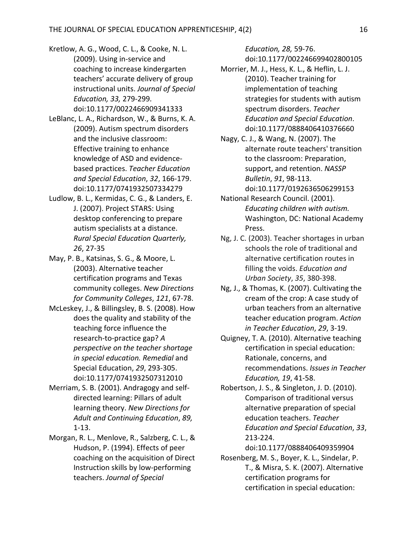- Kretlow, A. G., Wood, C. L., & Cooke, N. L. (2009). Using in-service and coaching to increase kindergarten teachers' accurate delivery of group instructional units. *Journal of Special Education, 33,* 279-299*.* doi:10.1177/0022466909341333
- LeBlanc, L. A., Richardson, W., & Burns, K. A. (2009). Autism spectrum disorders and the inclusive classroom: Effective training to enhance knowledge of ASD and evidencebased practices. *Teacher Education and Special Education*, *32*, 166-179. doi:10.1177/0741932507334279
- Ludlow, B. L., Kermidas, C. G., & Landers, E. J. (2007). Project STARS: Using desktop conferencing to prepare autism specialists at a distance. *Rural Special Education Quarterly, 26*, 27-35
- May, P. B., Katsinas, S. G., & Moore, L. (2003). Alternative teacher certification programs and Texas community colleges. *New Directions for Community Colleges*, *121*, 67-78.
- McLeskey, J., & Billingsley, B. S. (2008). How does the quality and stability of the teaching force influence the research-to-practice gap? *A perspective on the teacher shortage in special education. Remedial* and Special Education, *29*, 293-305. doi:10.1177/0741932507312010
- Merriam, S. B. (2001). Andragogy and selfdirected learning: Pillars of adult learning theory. *New Directions for Adult and Continuing Education*, *89,* 1-13.
- Morgan, R. L., Menlove, R., Salzberg, C. L., & Hudson, P. (1994). Effects of peer coaching on the acquisition of Direct Instruction skills by low-performing teachers. *Journal of Special*

*Education, 28,* 59-76. doi:10.1177/002246699402800105

- Morrier, M. J., Hess, K. L., & Heflin, L. J. (2010). Teacher training for implementation of teaching strategies for students with autism spectrum disorders. *Teacher Education and Special Education*. doi:10.1177/0888406410376660
- Nagy, C. J., & Wang, N. (2007). The alternate route teachers' transition to the classroom: Preparation, support, and retention. *NASSP Bulletin*, *91*, 98-113. doi:10.1177/0192636506299153
- National Research Council. (2001). *Educating children with autism.* Washington, DC: National Academy Press.
- Ng, J. C. (2003). Teacher shortages in urban schools the role of traditional and alternative certification routes in filling the voids. *Education and Urban Society*, *35*, 380-398.
- Ng, J., & Thomas, K. (2007). Cultivating the cream of the crop: A case study of urban teachers from an alternative teacher education program. *Action in Teacher Education*, *29*, 3-19.
- Quigney, T. A. (2010). Alternative teaching certification in special education: Rationale, concerns, and recommendations. *Issues in Teacher Education, 19*, 41-58.
- Robertson, J. S., & Singleton, J. D. (2010). Comparison of traditional versus alternative preparation of special education teachers. *Teacher Education and Special Education*, *33*, 213-224.

Rosenberg, M. S., Boyer, K. L., Sindelar, P. T., & Misra, S. K. (2007). Alternative certification programs for certification in special education:

doi:10.1177/0888406409359904